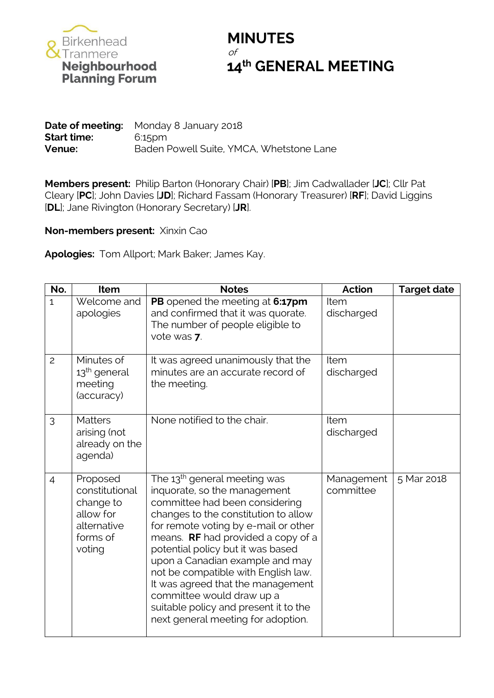

## **MINUTES** of **14<sup>th</sup> GENERAL MEETING**<br>Planning Forum<br>Planning Forum

**Date of meeting:** Monday 8 January 2018 **Start time:** 6:15pm **Venue:** Baden Powell Suite, YMCA, Whetstone Lane

**Members present:** Philip Barton (Honorary Chair) [**PB**]; Jim Cadwallader [**JC**]; Cllr Pat Cleary [**PC**]; John Davies [**JD**]; Richard Fassam (Honorary Treasurer) [**RF**]; David Liggins [**DL**]; Jane Rivington (Honorary Secretary) [**JR**].

**Non-members present:** Xinxin Cao

**Apologies:** Tom Allport; Mark Baker; James Kay.

| No.            | Item                                                                                      | <b>Notes</b>                                                                                                                                                                                                                                                                                                                                                                                                                                                                                     | <b>Action</b>             | <b>Target date</b> |
|----------------|-------------------------------------------------------------------------------------------|--------------------------------------------------------------------------------------------------------------------------------------------------------------------------------------------------------------------------------------------------------------------------------------------------------------------------------------------------------------------------------------------------------------------------------------------------------------------------------------------------|---------------------------|--------------------|
| $\mathbf{1}$   | Welcome and<br>apologies                                                                  | PB opened the meeting at 6:17pm<br>and confirmed that it was quorate.<br>The number of people eligible to<br>vote was 7.                                                                                                                                                                                                                                                                                                                                                                         | <b>Item</b><br>discharged |                    |
| $\overline{c}$ | Minutes of<br>13 <sup>th</sup> general<br>meeting<br>(accuracy)                           | It was agreed unanimously that the<br>minutes are an accurate record of<br>the meeting.                                                                                                                                                                                                                                                                                                                                                                                                          | Item<br>discharged        |                    |
| 3              | <b>Matters</b><br>arising (not<br>already on the<br>agenda)                               | None notified to the chair.                                                                                                                                                                                                                                                                                                                                                                                                                                                                      | Item<br>discharged        |                    |
| $\overline{4}$ | Proposed<br>constitutional<br>change to<br>allow for<br>alternative<br>forms of<br>voting | The 13 <sup>th</sup> general meeting was<br>inquorate, so the management<br>committee had been considering<br>changes to the constitution to allow<br>for remote voting by e-mail or other<br>means. RF had provided a copy of a<br>potential policy but it was based<br>upon a Canadian example and may<br>not be compatible with English law.<br>It was agreed that the management<br>committee would draw up a<br>suitable policy and present it to the<br>next general meeting for adoption. | Management<br>committee   | 5 Mar 2018         |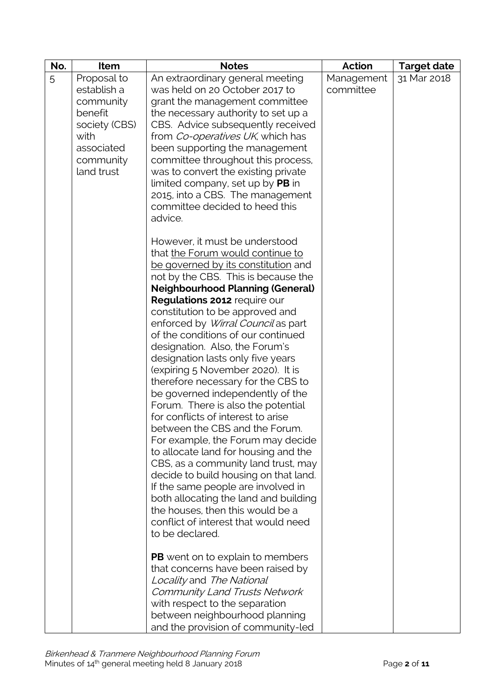| No. | Item                                                                                                                 | <b>Notes</b>                                                                                                                                                                                                                                                                                                                                                                                                                                                                                                                                                                                                                                                                                                                                                                                                                                                                                                                                             | <b>Action</b>           | <b>Target date</b> |
|-----|----------------------------------------------------------------------------------------------------------------------|----------------------------------------------------------------------------------------------------------------------------------------------------------------------------------------------------------------------------------------------------------------------------------------------------------------------------------------------------------------------------------------------------------------------------------------------------------------------------------------------------------------------------------------------------------------------------------------------------------------------------------------------------------------------------------------------------------------------------------------------------------------------------------------------------------------------------------------------------------------------------------------------------------------------------------------------------------|-------------------------|--------------------|
| 5   | Proposal to<br>establish a<br>community<br>benefit<br>society (CBS)<br>with<br>associated<br>community<br>land trust | An extraordinary general meeting<br>was held on 20 October 2017 to<br>grant the management committee<br>the necessary authority to set up a<br>CBS. Advice subsequently received<br>from Co-operatives UK, which has<br>been supporting the management<br>committee throughout this process,<br>was to convert the existing private<br>limited company, set up by PB in<br>2015, into a CBS. The management<br>committee decided to heed this<br>advice.<br>However, it must be understood<br>that the Forum would continue to<br>be governed by its constitution and<br>not by the CBS. This is because the<br><b>Neighbourhood Planning (General)</b><br>Regulations 2012 require our<br>constitution to be approved and<br>enforced by Wirral Council as part<br>of the conditions of our continued<br>designation. Also, the Forum's<br>designation lasts only five years<br>(expiring 5 November 2020). It is<br>therefore necessary for the CBS to | Management<br>committee | 31 Mar 2018        |
|     |                                                                                                                      | Forum. There is also the potential<br>for conflicts of interest to arise<br>between the CBS and the Forum.<br>For example, the Forum may decide<br>to allocate land for housing and the<br>CBS, as a community land trust, may<br>decide to build housing on that land.<br>If the same people are involved in<br>both allocating the land and building<br>the houses, then this would be a<br>conflict of interest that would need<br>to be declared.                                                                                                                                                                                                                                                                                                                                                                                                                                                                                                    |                         |                    |
|     |                                                                                                                      | <b>PB</b> went on to explain to members<br>that concerns have been raised by<br>Locality and The National<br>Community Land Trusts Network<br>with respect to the separation<br>between neighbourhood planning<br>and the provision of community-led                                                                                                                                                                                                                                                                                                                                                                                                                                                                                                                                                                                                                                                                                                     |                         |                    |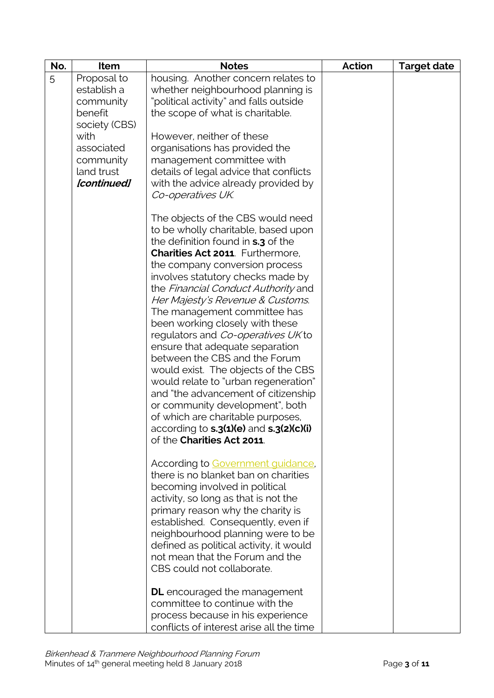| No. | Item                                                                | <b>Notes</b>                                                                                                                                                                                                                                                                                                                                                                                                                                                                                                                                                                                                                                                                                                                                                                 | <b>Action</b> | <b>Target date</b> |
|-----|---------------------------------------------------------------------|------------------------------------------------------------------------------------------------------------------------------------------------------------------------------------------------------------------------------------------------------------------------------------------------------------------------------------------------------------------------------------------------------------------------------------------------------------------------------------------------------------------------------------------------------------------------------------------------------------------------------------------------------------------------------------------------------------------------------------------------------------------------------|---------------|--------------------|
| 5   | Proposal to<br>establish a<br>community<br>benefit<br>society (CBS) | housing. Another concern relates to<br>whether neighbourhood planning is<br>"political activity" and falls outside<br>the scope of what is charitable.                                                                                                                                                                                                                                                                                                                                                                                                                                                                                                                                                                                                                       |               |                    |
|     | with<br>associated<br>community<br>land trust<br>[continued]        | However, neither of these<br>organisations has provided the<br>management committee with<br>details of legal advice that conflicts<br>with the advice already provided by<br>Co-operatives UK.                                                                                                                                                                                                                                                                                                                                                                                                                                                                                                                                                                               |               |                    |
|     |                                                                     | The objects of the CBS would need<br>to be wholly charitable, based upon<br>the definition found in <b>s.3</b> of the<br>Charities Act 2011 Furthermore.<br>the company conversion process<br>involves statutory checks made by<br>the Financial Conduct Authority and<br>Her Majesty's Revenue & Customs.<br>The management committee has<br>been working closely with these<br>regulators and Co-operatives UK to<br>ensure that adequate separation<br>between the CBS and the Forum<br>would exist. The objects of the CBS<br>would relate to "urban regeneration"<br>and "the advancement of citizenship<br>or community development", both<br>of which are charitable purposes,<br>according to <b>s.3(1)(e)</b> and <b>s.3(2)(c)(i)</b><br>of the Charities Act 2011. |               |                    |
|     |                                                                     | According to Government guidance.<br>there is no blanket ban on charities<br>becoming involved in political<br>activity, so long as that is not the<br>primary reason why the charity is<br>established. Consequently, even if<br>neighbourhood planning were to be<br>defined as political activity, it would<br>not mean that the Forum and the<br>CBS could not collaborate.                                                                                                                                                                                                                                                                                                                                                                                              |               |                    |
|     |                                                                     | <b>DL</b> encouraged the management<br>committee to continue with the<br>process because in his experience<br>conflicts of interest arise all the time                                                                                                                                                                                                                                                                                                                                                                                                                                                                                                                                                                                                                       |               |                    |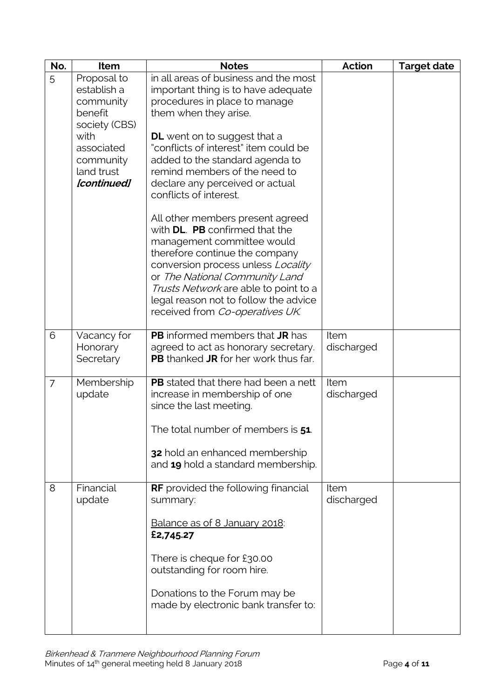| No. | Item                                                                | <b>Notes</b>                                                                                                                                                                                                                                                                                                                    | <b>Action</b>      | <b>Target date</b> |
|-----|---------------------------------------------------------------------|---------------------------------------------------------------------------------------------------------------------------------------------------------------------------------------------------------------------------------------------------------------------------------------------------------------------------------|--------------------|--------------------|
| 5   | Proposal to<br>establish a<br>community<br>benefit<br>society (CBS) | in all areas of business and the most<br>important thing is to have adequate<br>procedures in place to manage<br>them when they arise.                                                                                                                                                                                          |                    |                    |
|     | with<br>associated<br>community<br>land trust<br>[continued]        | <b>DL</b> went on to suggest that a<br>"conflicts of interest" item could be<br>added to the standard agenda to<br>remind members of the need to<br>declare any perceived or actual<br>conflicts of interest.                                                                                                                   |                    |                    |
|     |                                                                     | All other members present agreed<br>with DL. PB confirmed that the<br>management committee would<br>therefore continue the company<br>conversion process unless Locality<br>or The National Community Land<br>Trusts Network are able to point to a<br>legal reason not to follow the advice<br>received from Co-operatives UK. |                    |                    |
| 6   | Vacancy for<br>Honorary<br>Secretary                                | <b>PB</b> informed members that JR has<br>agreed to act as honorary secretary.<br><b>PB</b> thanked <b>JR</b> for her work thus far.                                                                                                                                                                                            | Item<br>discharged |                    |
| 7   | Membership<br>update                                                | <b>PB</b> stated that there had been a nett<br>increase in membership of one<br>since the last meeting.                                                                                                                                                                                                                         | Item<br>discharged |                    |
|     |                                                                     | The total number of members is 51                                                                                                                                                                                                                                                                                               |                    |                    |
|     |                                                                     | 32 hold an enhanced membership<br>and 19 hold a standard membership.                                                                                                                                                                                                                                                            |                    |                    |
| 8   | Financial<br>update                                                 | <b>RF</b> provided the following financial<br>summary:                                                                                                                                                                                                                                                                          | Item<br>discharged |                    |
|     |                                                                     | Balance as of 8 January 2018:<br>£2,745.27                                                                                                                                                                                                                                                                                      |                    |                    |
|     |                                                                     | There is cheque for £30.00<br>outstanding for room hire.                                                                                                                                                                                                                                                                        |                    |                    |
|     |                                                                     | Donations to the Forum may be<br>made by electronic bank transfer to:                                                                                                                                                                                                                                                           |                    |                    |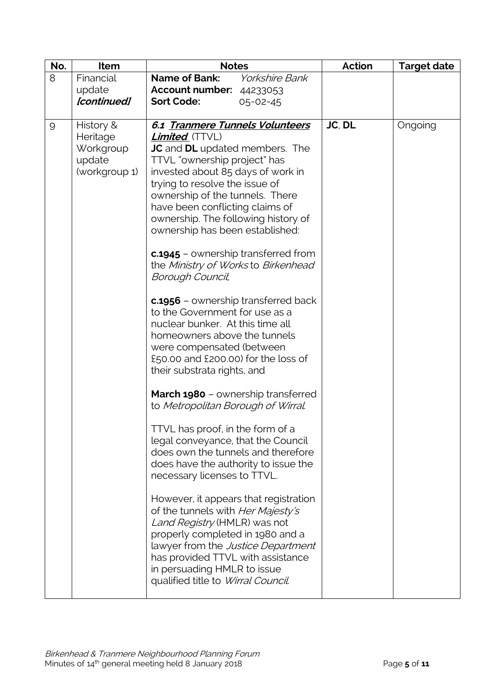| No. | <b>Item</b>                                                                  | <b>Notes</b>                                                                                                                                                                                                                                                                                                                                                                                                                                                                                                                                                                                                                                                                                                                                                                            | <b>Action</b> | <b>Target date</b> |
|-----|------------------------------------------------------------------------------|-----------------------------------------------------------------------------------------------------------------------------------------------------------------------------------------------------------------------------------------------------------------------------------------------------------------------------------------------------------------------------------------------------------------------------------------------------------------------------------------------------------------------------------------------------------------------------------------------------------------------------------------------------------------------------------------------------------------------------------------------------------------------------------------|---------------|--------------------|
| 8   | Financial                                                                    | <b>Name of Bank:</b><br><b>Yorkshire Bank</b>                                                                                                                                                                                                                                                                                                                                                                                                                                                                                                                                                                                                                                                                                                                                           |               |                    |
|     | update                                                                       |                                                                                                                                                                                                                                                                                                                                                                                                                                                                                                                                                                                                                                                                                                                                                                                         |               |                    |
|     |                                                                              | $05 - 02 - 45$                                                                                                                                                                                                                                                                                                                                                                                                                                                                                                                                                                                                                                                                                                                                                                          |               |                    |
|     |                                                                              |                                                                                                                                                                                                                                                                                                                                                                                                                                                                                                                                                                                                                                                                                                                                                                                         |               |                    |
| 9   | [continued]<br>History &<br>Heritage<br>Workgroup<br>update<br>(workgroup 1) | <b>Account number: 44233053</b><br><b>Sort Code:</b><br>6.1 Tranmere Tunnels Volunteers<br><b>Limited</b> (TTVL)<br><b>JC</b> and <b>DL</b> updated members. The<br>TTVL "ownership project" has<br>invested about 85 days of work in<br>trying to resolve the issue of<br>ownership of the tunnels. There<br>have been conflicting claims of<br>ownership. The following history of<br>ownership has been established:<br><b>c.1945</b> – ownership transferred from<br>the Ministry of Works to Birkenhead<br>Borough Council,<br><b>c.1956</b> – ownership transferred back<br>to the Government for use as a<br>nuclear bunker. At this time all<br>homeowners above the tunnels<br>were compensated (between<br>£50.00 and £200.00) for the loss of<br>their substrata rights, and | JC, DL        | Ongoing            |
|     |                                                                              | <b>March 1980</b> - ownership transferred<br>to Metropolitan Borough of Wirral.                                                                                                                                                                                                                                                                                                                                                                                                                                                                                                                                                                                                                                                                                                         |               |                    |
|     |                                                                              | TTVL has proof, in the form of a<br>legal conveyance, that the Council<br>does own the tunnels and therefore<br>does have the authority to issue the<br>necessary licenses to TTVL.                                                                                                                                                                                                                                                                                                                                                                                                                                                                                                                                                                                                     |               |                    |
|     |                                                                              | However, it appears that registration<br>of the tunnels with Her Majesty's<br>Land Registry (HMLR) was not<br>properly completed in 1980 and a<br>lawyer from the Justice Department<br>has provided TTVL with assistance<br>in persuading HMLR to issue<br>qualified title to Wirral Council.                                                                                                                                                                                                                                                                                                                                                                                                                                                                                          |               |                    |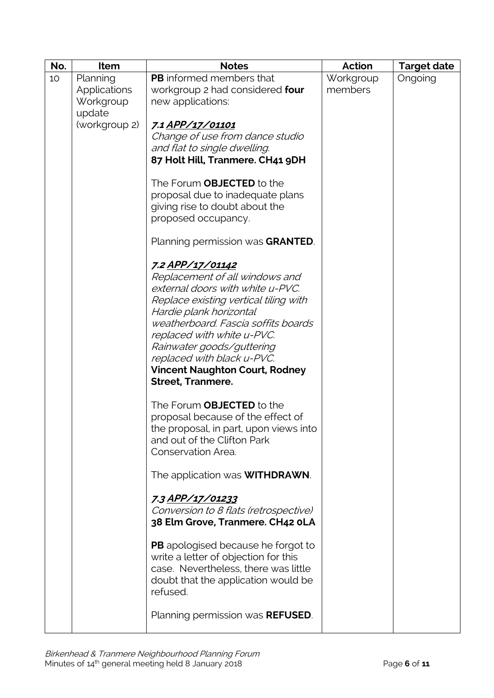| No. | Item          | <b>Notes</b>                              | Action    | <b>Target date</b> |
|-----|---------------|-------------------------------------------|-----------|--------------------|
| 10  | Planning      | <b>PB</b> informed members that           | Workgroup | Ongoing            |
|     | Applications  | workgroup 2 had considered four           | members   |                    |
|     | Workgroup     | new applications:                         |           |                    |
|     | update        |                                           |           |                    |
|     | (workgroup 2) | 7.1 APP/17/01101                          |           |                    |
|     |               | Change of use from dance studio           |           |                    |
|     |               | and flat to single dwelling.              |           |                    |
|     |               | 87 Holt Hill, Tranmere. CH41 9DH          |           |                    |
|     |               | The Forum OBJECTED to the                 |           |                    |
|     |               | proposal due to inadequate plans          |           |                    |
|     |               | giving rise to doubt about the            |           |                    |
|     |               | proposed occupancy.                       |           |                    |
|     |               |                                           |           |                    |
|     |               | Planning permission was GRANTED.          |           |                    |
|     |               | <u>7.2 APP/17/01142</u>                   |           |                    |
|     |               | Replacement of all windows and            |           |                    |
|     |               | external doors with white u-PVC.          |           |                    |
|     |               | Replace existing vertical tiling with     |           |                    |
|     |               | Hardie plank horizontal                   |           |                    |
|     |               | weatherboard. Fascia soffits boards       |           |                    |
|     |               | replaced with white u-PVC.                |           |                    |
|     |               | Rainwater goods/guttering                 |           |                    |
|     |               | replaced with black u-PVC.                |           |                    |
|     |               | <b>Vincent Naughton Court, Rodney</b>     |           |                    |
|     |               | <b>Street, Tranmere.</b>                  |           |                    |
|     |               | The Forum OBJECTED to the                 |           |                    |
|     |               | proposal because of the effect of         |           |                    |
|     |               | the proposal, in part, upon views into    |           |                    |
|     |               | and out of the Clifton Park               |           |                    |
|     |               | Conservation Area.                        |           |                    |
|     |               | The application was <b>WITHDRAWN</b> .    |           |                    |
|     |               | 7.3 APP/17/01233                          |           |                    |
|     |               | Conversion to 8 flats (retrospective)     |           |                    |
|     |               | 38 Elm Grove, Tranmere. CH42 oLA          |           |                    |
|     |               |                                           |           |                    |
|     |               | <b>PB</b> apologised because he forgot to |           |                    |
|     |               | write a letter of objection for this      |           |                    |
|     |               | case. Nevertheless, there was little      |           |                    |
|     |               | doubt that the application would be       |           |                    |
|     |               | refused.                                  |           |                    |
|     |               | Planning permission was REFUSED.          |           |                    |
|     |               |                                           |           |                    |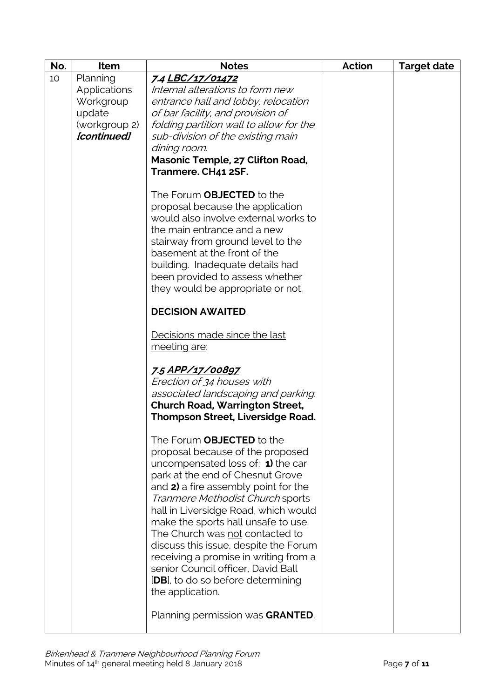| No. | <b>Item</b>         | <b>Notes</b>                             | <b>Action</b> | <b>Target date</b> |
|-----|---------------------|------------------------------------------|---------------|--------------------|
| 10  | Planning            | 7.4 LBC/17/01472                         |               |                    |
|     | <b>Applications</b> | Internal alterations to form new         |               |                    |
|     | Workgroup           | entrance hall and lobby, relocation      |               |                    |
|     | update              | of bar facility, and provision of        |               |                    |
|     | (workgroup 2)       | folding partition wall to allow for the  |               |                    |
|     | [continued]         | sub-division of the existing main        |               |                    |
|     |                     | dining room.                             |               |                    |
|     |                     | Masonic Temple, 27 Clifton Road,         |               |                    |
|     |                     | Tranmere. CH41 2SF.                      |               |                    |
|     |                     |                                          |               |                    |
|     |                     | The Forum <b>OBJECTED</b> to the         |               |                    |
|     |                     | proposal because the application         |               |                    |
|     |                     | would also involve external works to     |               |                    |
|     |                     | the main entrance and a new              |               |                    |
|     |                     | stairway from ground level to the        |               |                    |
|     |                     | basement at the front of the             |               |                    |
|     |                     | building. Inadequate details had         |               |                    |
|     |                     | been provided to assess whether          |               |                    |
|     |                     | they would be appropriate or not.        |               |                    |
|     |                     | <b>DECISION AWAITED.</b>                 |               |                    |
|     |                     | Decisions made since the last            |               |                    |
|     |                     | meeting are:                             |               |                    |
|     |                     |                                          |               |                    |
|     |                     | 7.5 APP/17/00897                         |               |                    |
|     |                     | Erection of 34 houses with               |               |                    |
|     |                     | associated landscaping and parking.      |               |                    |
|     |                     | <b>Church Road, Warrington Street,</b>   |               |                    |
|     |                     | <b>Thompson Street, Liversidge Road.</b> |               |                    |
|     |                     | The Forum <b>OBJECTED</b> to the         |               |                    |
|     |                     | proposal because of the proposed         |               |                    |
|     |                     | uncompensated loss of: 1) the car        |               |                    |
|     |                     | park at the end of Chesnut Grove         |               |                    |
|     |                     | and 2) a fire assembly point for the     |               |                    |
|     |                     | Tranmere Methodist Church sports         |               |                    |
|     |                     | hall in Liversidge Road, which would     |               |                    |
|     |                     | make the sports hall unsafe to use.      |               |                    |
|     |                     | The Church was not contacted to          |               |                    |
|     |                     | discuss this issue, despite the Forum    |               |                    |
|     |                     | receiving a promise in writing from a    |               |                    |
|     |                     | senior Council officer, David Ball       |               |                    |
|     |                     | [DB], to do so before determining        |               |                    |
|     |                     | the application.                         |               |                    |
|     |                     |                                          |               |                    |
|     |                     | Planning permission was GRANTED.         |               |                    |
|     |                     |                                          |               |                    |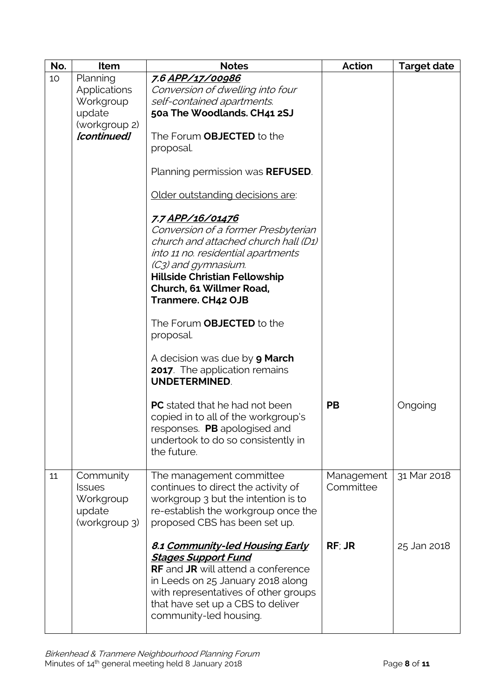| No. | Item                                                               | <b>Notes</b>                                                                                                                                                                                                                                                  | <b>Action</b>           | <b>Target date</b> |
|-----|--------------------------------------------------------------------|---------------------------------------------------------------------------------------------------------------------------------------------------------------------------------------------------------------------------------------------------------------|-------------------------|--------------------|
| 10  | Planning<br>Applications<br>Workgroup                              | 7.6 APP/17/00986<br>Conversion of dwelling into four<br>self-contained apartments.                                                                                                                                                                            |                         |                    |
|     | update                                                             | 50a The Woodlands. CH41 2SJ                                                                                                                                                                                                                                   |                         |                    |
|     | (workgroup 2)                                                      |                                                                                                                                                                                                                                                               |                         |                    |
|     | [continued]                                                        | The Forum <b>OBJECTED</b> to the<br>proposal.                                                                                                                                                                                                                 |                         |                    |
|     |                                                                    | Planning permission was <b>REFUSED</b> .                                                                                                                                                                                                                      |                         |                    |
|     |                                                                    | Older outstanding decisions are:                                                                                                                                                                                                                              |                         |                    |
|     |                                                                    | 7.7 APP/16/01476<br>Conversion of a former Presbyterian<br>church and attached church hall (D1)<br>into 11 no. residential apartments<br>(C3) and gymnasium.<br><b>Hillside Christian Fellowship</b><br>Church, 61 Willmer Road,<br><b>Tranmere. CH42 OJB</b> |                         |                    |
|     |                                                                    | The Forum OBJECTED to the<br>proposal.                                                                                                                                                                                                                        |                         |                    |
|     |                                                                    | A decision was due by <b>9 March</b><br><b>2017</b> . The application remains<br><b>UNDETERMINED.</b>                                                                                                                                                         |                         |                    |
|     |                                                                    | <b>PC</b> stated that he had not been<br>copied in to all of the workgroup's<br>responses. PB apologised and<br>undertook to do so consistently in<br>the future.                                                                                             | <b>PB</b>               | Ongoing            |
| 11  | Community<br><b>Issues</b><br>Workgroup<br>update<br>(workgroup 3) | The management committee<br>continues to direct the activity of<br>workgroup 3 but the intention is to<br>re-establish the workgroup once the<br>proposed CBS has been set up.                                                                                | Management<br>Committee | 31 Mar 2018        |
|     |                                                                    | 8.1 Community-led Housing Early<br><b>Stages Support Fund</b><br><b>RF</b> and <b>JR</b> will attend a conference<br>in Leeds on 25 January 2018 along<br>with representatives of other groups<br>that have set up a CBS to deliver<br>community-led housing. | RF; JR                  | 25 Jan 2018        |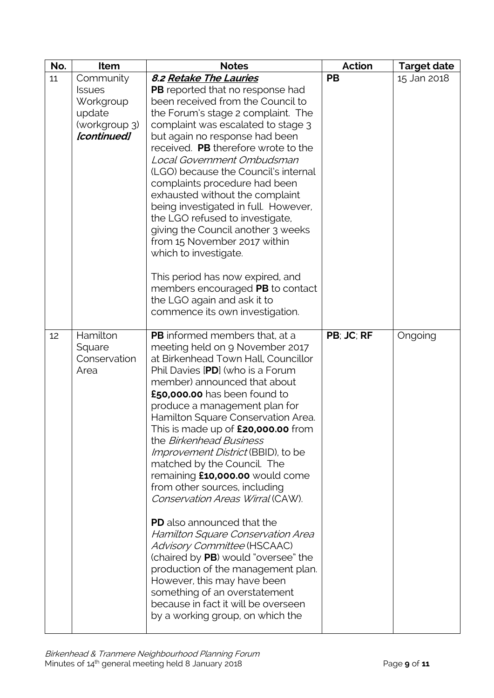| No. | Item          | <b>Notes</b>                                                       | <b>Action</b> | <b>Target date</b> |
|-----|---------------|--------------------------------------------------------------------|---------------|--------------------|
| 11  | Community     | 8.2 Retake The Lauries                                             | PB            | 15 Jan 2018        |
|     | <b>Issues</b> | <b>PB</b> reported that no response had                            |               |                    |
|     | Workgroup     | been received from the Council to                                  |               |                    |
|     | update        | the Forum's stage 2 complaint. The                                 |               |                    |
|     | (workgroup 3) | complaint was escalated to stage 3                                 |               |                    |
|     | [continued]   | but again no response had been                                     |               |                    |
|     |               | received. PB therefore wrote to the                                |               |                    |
|     |               | Local Government Ombudsman                                         |               |                    |
|     |               | (LGO) because the Council's internal                               |               |                    |
|     |               | complaints procedure had been<br>exhausted without the complaint   |               |                    |
|     |               | being investigated in full. However,                               |               |                    |
|     |               | the LGO refused to investigate,                                    |               |                    |
|     |               | giving the Council another 3 weeks                                 |               |                    |
|     |               | from 15 November 2017 within                                       |               |                    |
|     |               | which to investigate.                                              |               |                    |
|     |               |                                                                    |               |                    |
|     |               | This period has now expired, and                                   |               |                    |
|     |               | members encouraged PB to contact                                   |               |                    |
|     |               | the LGO again and ask it to                                        |               |                    |
|     |               | commence its own investigation.                                    |               |                    |
| 12  | Hamilton      | PB informed members that, at a                                     | PB; JC; RF    | Ongoing            |
|     | Square        | meeting held on 9 November 2017                                    |               |                    |
|     | Conservation  | at Birkenhead Town Hall, Councillor                                |               |                    |
|     | Area          | Phil Davies [PD] (who is a Forum                                   |               |                    |
|     |               | member) announced that about                                       |               |                    |
|     |               | £50,000.00 has been found to                                       |               |                    |
|     |               | produce a management plan for                                      |               |                    |
|     |               | Hamilton Square Conservation Area.                                 |               |                    |
|     |               | This is made up of £20,000,00 from<br>the Birkenhead Business      |               |                    |
|     |               | Improvement District (BBID), to be                                 |               |                    |
|     |               | matched by the Council. The                                        |               |                    |
|     |               | remaining £10,000.00 would come                                    |               |                    |
|     |               | from other sources, including                                      |               |                    |
|     |               | Conservation Areas Wirral (CAW).                                   |               |                    |
|     |               |                                                                    |               |                    |
|     |               | <b>PD</b> also announced that the                                  |               |                    |
|     |               | Hamilton Square Conservation Area                                  |               |                    |
|     |               | Advisory Committee (HSCAAC)<br>(chaired by PB) would "oversee" the |               |                    |
|     |               | production of the management plan.                                 |               |                    |
|     |               | However, this may have been                                        |               |                    |
|     |               | something of an overstatement                                      |               |                    |
|     |               | because in fact it will be overseen                                |               |                    |
|     |               | by a working group, on which the                                   |               |                    |
|     |               |                                                                    |               |                    |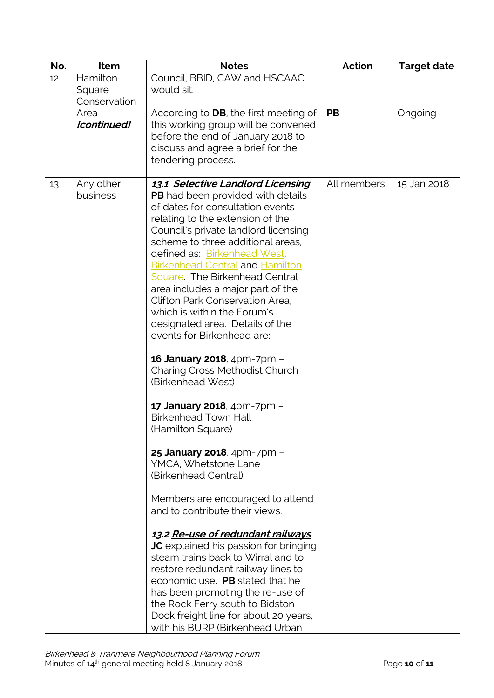| No. | <b>Item</b>                        | <b>Notes</b>                                                                                                                                                                                                                                                                                                                                                                                                                                                                                                                                                                                                                                                                                                                                                                                                                                                                                                                                                                                                                                                                                                                                                                                                    | <b>Action</b> | <b>Target date</b> |
|-----|------------------------------------|-----------------------------------------------------------------------------------------------------------------------------------------------------------------------------------------------------------------------------------------------------------------------------------------------------------------------------------------------------------------------------------------------------------------------------------------------------------------------------------------------------------------------------------------------------------------------------------------------------------------------------------------------------------------------------------------------------------------------------------------------------------------------------------------------------------------------------------------------------------------------------------------------------------------------------------------------------------------------------------------------------------------------------------------------------------------------------------------------------------------------------------------------------------------------------------------------------------------|---------------|--------------------|
| 12  | Hamilton<br>Square<br>Conservation | Council, BBID, CAW and HSCAAC<br>would sit.                                                                                                                                                                                                                                                                                                                                                                                                                                                                                                                                                                                                                                                                                                                                                                                                                                                                                                                                                                                                                                                                                                                                                                     |               |                    |
|     | Area<br>[continued]                | According to <b>DB</b> , the first meeting of<br>this working group will be convened<br>before the end of January 2018 to<br>discuss and agree a brief for the<br>tendering process.                                                                                                                                                                                                                                                                                                                                                                                                                                                                                                                                                                                                                                                                                                                                                                                                                                                                                                                                                                                                                            | <b>PB</b>     | Ongoing            |
| 13  | Any other<br>business              | 13.1 Selective Landlord Licensing<br><b>PB</b> had been provided with details<br>of dates for consultation events<br>relating to the extension of the<br>Council's private landlord licensing<br>scheme to three additional areas.<br>defined as: Birkenhead West,<br><b>Birkenhead Central and Hamilton</b><br>Square. The Birkenhead Central<br>area includes a major part of the<br>Clifton Park Conservation Area.<br>which is within the Forum's<br>designated area. Details of the<br>events for Birkenhead are:<br>16 January 2018, 4pm-7pm -<br><b>Charing Cross Methodist Church</b><br>(Birkenhead West)<br>17 January 2018, 4pm-7pm -<br><b>Birkenhead Town Hall</b><br>(Hamilton Square)<br>25 January 2018, 4pm-7pm -<br>YMCA, Whetstone Lane<br>(Birkenhead Central)<br>Members are encouraged to attend<br>and to contribute their views.<br>13.2 Re-use of redundant railways<br><b>JC</b> explained his passion for bringing<br>steam trains back to Wirral and to<br>restore redundant railway lines to<br>economic use. PB stated that he<br>has been promoting the re-use of<br>the Rock Ferry south to Bidston<br>Dock freight line for about 20 years,<br>with his BURP (Birkenhead Urban | All members   | 15 Jan 2018        |